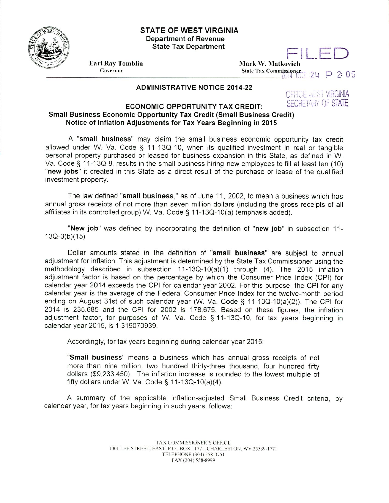

## **STATE OF WEST VIRGINIA Department of Revenue State Tax Department**

**Earl Ray Tomblin** Governor

**Mark** W. **Matkovich** FLED State Tax Commissioner  $\frac{1}{2}$  2 P 2: 05

## **ADMINISTRATIVE NOTICE 2014-22**

OFFICE ARST VIRGINIA

## **ECONOMIC OPPORTUNITY TAX CREDIT:** SECRETARY OF STATE **Small Business Economic Opportunity Tax Credit (Small Business Credit) Notice of Inflation Adjustments for Tax Years Beginning in 2015**

**A "small business"** may claim the small business economic opportunity tax credit allowed under W. Va. Code § 11-130-10, when its qualified investment in real or tangible personal property purchased or leased for business expansion in this State, as defined in W. Va. Code § 11-130-8, results in the small business hiring new employees to fill at least ten (10) **"new jobs"** it created in this State as a direct result of the purchase or lease of the qualified investment property.

The law defined **"small business,"** as of June 11, 2002, to mean a business which has annual gross receipts of not more than seven million dollars (including the gross receipts of all affiliates in its controlled group) W. Va. Code § 11-130-10(a) (emphasis added).

"New job" was defined by incorporating the definition of **"new job"** in subsection 11-  $13Q-3(b)(15)$ .

Dollar amounts stated in the definition of **"small business"** are subject to annual adjustment for inflation. This adjustment is determined by the State Tax Commissioner using the methodology described in subsection 11-13Q-10(a)(1) through (4). The 2015 inflation adjustment factor is based on the percentage by which the Consumer Price Index (CPI) for calendar year 2014 exceeds the CPI for calendar year 2002. For this purpose, the CPI for any calendar year is the average of the Federal Consumer Price Index for the twelve-month period ending on August 31st of such calendar year (W. Va. Code § 11-130-10(a)(2)). The CPI for 2014 is 235.685 and the CPI for 2002 is 178.675. Based on these figures, the inflation adjustment factor, for purposes of W. Va. Code § 11-13Q-10, for tax years beginning in calendar year 2015, is 1.319070939.

Accordingly, for tax years beginning during calendar year 2015:

**"Small business"** means a business which has annual gross receipts of not more than nine million, two hundred thirty-three thousand, four hundred fifty dollars (\$9,233,450). The inflation increase is rounded to the lowest multiple of fifty dollars under W. Va. Code  $\S$  11-13Q-10(a)(4).

A summary of the applicable inflation-adjusted Small Business Credit criteria, by calendar year, for tax years beginning in such years, follows: